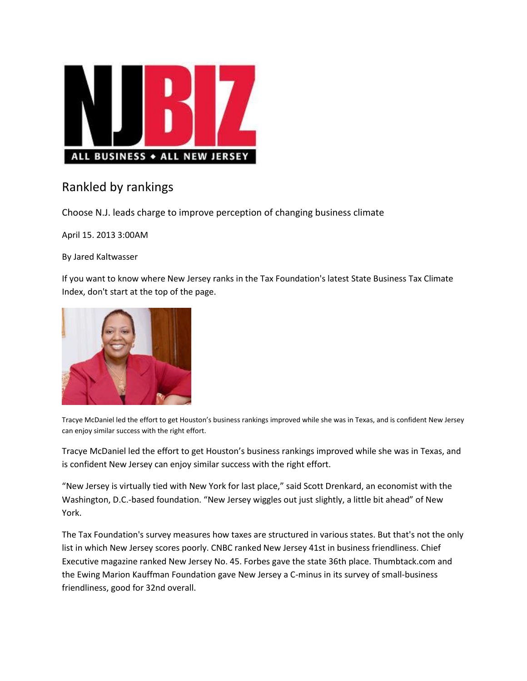

## Rankled by rankings

Choose N.J. leads charge to improve perception of changing business climate

April 15. 2013 3:00AM

By Jared Kaltwasser

If you want to know where New Jersey ranks in the Tax Foundation's latest State Business Tax Climate Index, don't start at the top of the page.



Tracye McDaniel led the effort to get Houston's business rankings improved while she was in Texas, and is confident New Jersey can enjoy similar success with the right effort.

Tracye McDaniel led the effort to get Houston's business rankings improved while she was in Texas, and is confident New Jersey can enjoy similar success with the right effort.

"New Jersey is virtually tied with New York for last place," said Scott Drenkard, an economist with the Washington, D.C.-based foundation. "New Jersey wiggles out just slightly, a little bit ahead" of New York.

The Tax Foundation's survey measures how taxes are structured in various states. But that's not the only list in which New Jersey scores poorly. CNBC ranked New Jersey 41st in business friendliness. Chief Executive magazine ranked New Jersey No. 45. Forbes gave the state 36th place. Thumbtack.com and the Ewing Marion Kauffman Foundation gave New Jersey a C-minus in its survey of small-business friendliness, good for 32nd overall.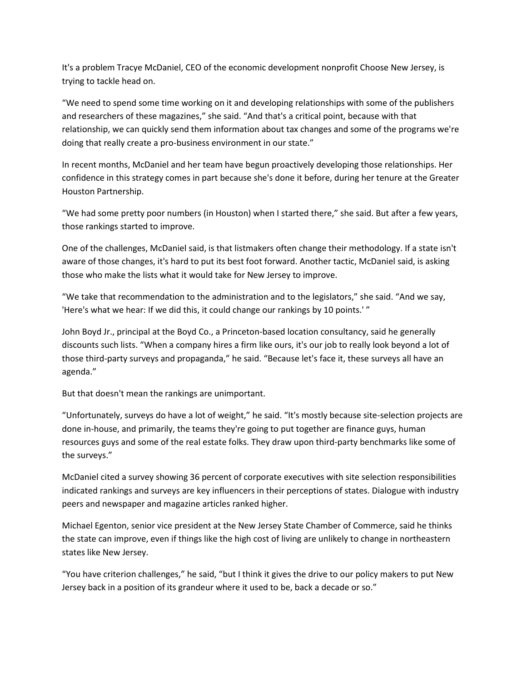It's a problem Tracye McDaniel, CEO of the economic development nonprofit Choose New Jersey, is trying to tackle head on.

"We need to spend some time working on it and developing relationships with some of the publishers and researchers of these magazines," she said. "And that's a critical point, because with that relationship, we can quickly send them information about tax changes and some of the programs we're doing that really create a pro-business environment in our state."

In recent months, McDaniel and her team have begun proactively developing those relationships. Her confidence in this strategy comes in part because she's done it before, during her tenure at the Greater Houston Partnership.

"We had some pretty poor numbers (in Houston) when I started there," she said. But after a few years, those rankings started to improve.

One of the challenges, McDaniel said, is that listmakers often change their methodology. If a state isn't aware of those changes, it's hard to put its best foot forward. Another tactic, McDaniel said, is asking those who make the lists what it would take for New Jersey to improve.

"We take that recommendation to the administration and to the legislators," she said. "And we say, 'Here's what we hear: If we did this, it could change our rankings by 10 points.' "

John Boyd Jr., principal at the Boyd Co., a Princeton-based location consultancy, said he generally discounts such lists. "When a company hires a firm like ours, it's our job to really look beyond a lot of those third-party surveys and propaganda," he said. "Because let's face it, these surveys all have an agenda."

But that doesn't mean the rankings are unimportant.

"Unfortunately, surveys do have a lot of weight," he said. "It's mostly because site-selection projects are done in-house, and primarily, the teams they're going to put together are finance guys, human resources guys and some of the real estate folks. They draw upon third-party benchmarks like some of the surveys."

McDaniel cited a survey showing 36 percent of corporate executives with site selection responsibilities indicated rankings and surveys are key influencers in their perceptions of states. Dialogue with industry peers and newspaper and magazine articles ranked higher.

Michael Egenton, senior vice president at the New Jersey State Chamber of Commerce, said he thinks the state can improve, even if things like the high cost of living are unlikely to change in northeastern states like New Jersey.

"You have criterion challenges," he said, "but I think it gives the drive to our policy makers to put New Jersey back in a position of its grandeur where it used to be, back a decade or so."